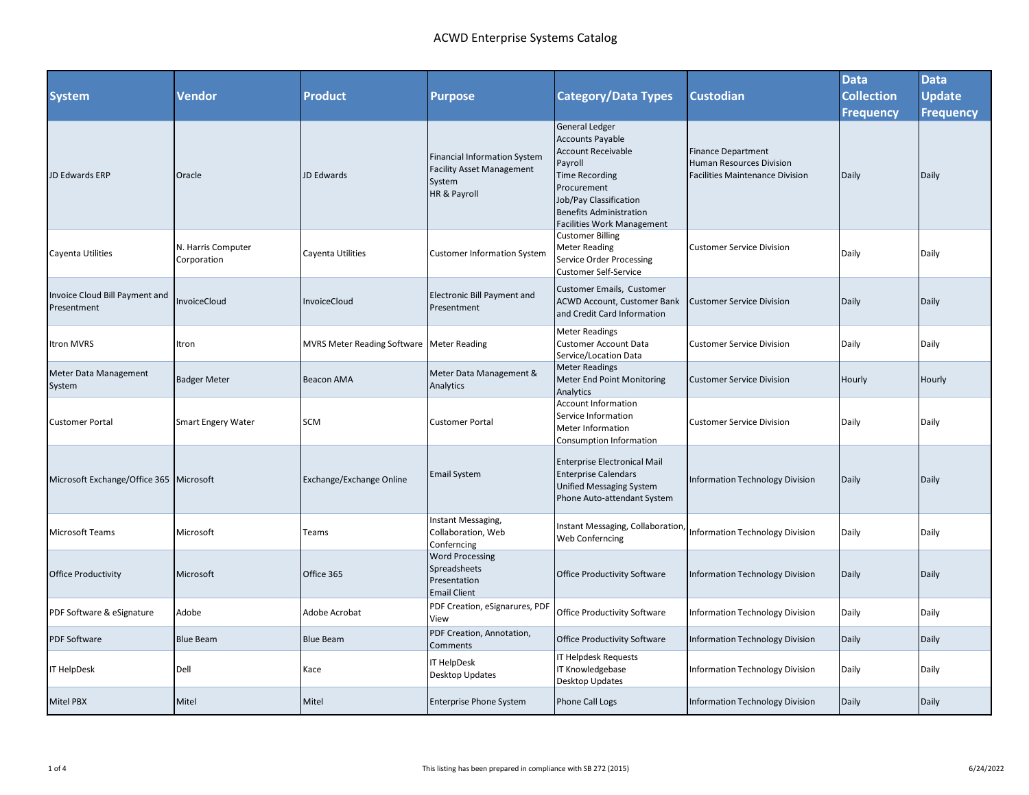## ACWD Enterprise Systems Catalog

|                                               |                                   |                                             |                                                                                                   |                                                                                                                                                                             |                                                                                                 | <b>Data</b>               | <b>Data</b>               |
|-----------------------------------------------|-----------------------------------|---------------------------------------------|---------------------------------------------------------------------------------------------------|-----------------------------------------------------------------------------------------------------------------------------------------------------------------------------|-------------------------------------------------------------------------------------------------|---------------------------|---------------------------|
| <b>System</b>                                 | <b>Vendor</b>                     | <b>Product</b>                              | <b>Purpose</b>                                                                                    | <b>Category/Data Types</b>                                                                                                                                                  | <b>Custodian</b>                                                                                | <b>Collection</b>         | Update                    |
| JD Edwards ERP                                | Oracle                            | JD Edwards                                  | <b>Financial Information System</b><br><b>Facility Asset Management</b><br>System<br>HR & Payroll | <b>General Ledger</b><br><b>Accounts Payable</b><br><b>Account Receivable</b><br>Payroll<br><b>Time Recording</b><br>Procurement<br>Job/Pay Classification                  | <b>Finance Department</b><br>Human Resources Division<br><b>Facilities Maintenance Division</b> | <b>Frequency</b><br>Daily | <b>Frequency</b><br>Daily |
| Cayenta Utilities                             | N. Harris Computer<br>Corporation | Cayenta Utilities                           | <b>Customer Information System</b>                                                                | <b>Benefits Administration</b><br><b>Facilities Work Management</b><br><b>Customer Billing</b><br><b>Meter Reading</b><br>Service Order Processing<br>Customer Self-Service | <b>Customer Service Division</b>                                                                | Daily                     | Daily                     |
| Invoice Cloud Bill Payment and<br>Presentment | nvoiceCloud                       | InvoiceCloud                                | Electronic Bill Payment and<br>Presentment                                                        | Customer Emails, Customer<br>ACWD Account, Customer Bank<br>and Credit Card Information                                                                                     | <b>Customer Service Division</b>                                                                | Daily                     | Daily                     |
| Itron MVRS                                    | Itron                             | MVRS Meter Reading Software   Meter Reading |                                                                                                   | <b>Meter Readings</b><br><b>Customer Account Data</b><br>Service/Location Data                                                                                              | Customer Service Division                                                                       | Daily                     | Daily                     |
| Meter Data Management<br>System               | <b>Badger Meter</b>               | <b>Beacon AMA</b>                           | Meter Data Management &<br>Analytics                                                              | <b>Meter Readings</b><br>Meter End Point Monitoring<br>Analytics                                                                                                            | <b>Customer Service Division</b>                                                                | Hourly                    | Hourly                    |
| <b>Customer Portal</b>                        | <b>Smart Engery Water</b>         | <b>SCM</b>                                  | <b>Customer Portal</b>                                                                            | <b>Account Information</b><br>Service Information<br>Meter Information<br>Consumption Information                                                                           | Customer Service Division                                                                       | Daily                     | Daily                     |
| Microsoft Exchange/Office 365 Microsoft       |                                   | Exchange/Exchange Online                    | <b>Email System</b>                                                                               | <b>Enterprise Electronical Mail</b><br><b>Enterprise Calendars</b><br><b>Unified Messaging System</b><br>Phone Auto-attendant System                                        | Information Technology Division                                                                 | Daily                     | Daily                     |
| Microsoft Teams                               | Microsoft                         | Teams                                       | Instant Messaging,<br>Collaboration, Web<br>Conferncing                                           | Instant Messaging, Collaboration,<br>Web Conferncing                                                                                                                        | <b>Information Technology Division</b>                                                          | Daily                     | Daily                     |
| <b>Office Productivity</b>                    | Microsoft                         | Office 365                                  | <b>Word Processing</b><br>Spreadsheets<br>Presentation<br><b>Email Client</b>                     | <b>Office Productivity Software</b>                                                                                                                                         | Information Technology Division                                                                 | Daily                     | Daily                     |
| PDF Software & eSignature                     | Adobe                             | Adobe Acrobat                               | PDF Creation, eSignarures, PDF<br>View                                                            | Office Productivity Software                                                                                                                                                | Information Technology Division                                                                 | Daily                     | Daily                     |
| <b>PDF Software</b>                           | <b>Blue Beam</b>                  | <b>Blue Beam</b>                            | PDF Creation, Annotation,<br>Comments                                                             | <b>Office Productivity Software</b>                                                                                                                                         | <b>Information Technology Division</b>                                                          | Daily                     | Daily                     |
| IT HelpDesk                                   | Dell                              | Kace                                        | <b>IT HelpDesk</b><br>Desktop Updates                                                             | IT Helpdesk Requests<br>IT Knowledgebase<br>Desktop Updates                                                                                                                 | Information Technology Division                                                                 | Daily                     | Daily                     |
| <b>Mitel PBX</b>                              | Mitel                             | Mitel                                       | <b>Enterprise Phone System</b>                                                                    | <b>Phone Call Logs</b>                                                                                                                                                      | Information Technology Division                                                                 | Daily                     | Daily                     |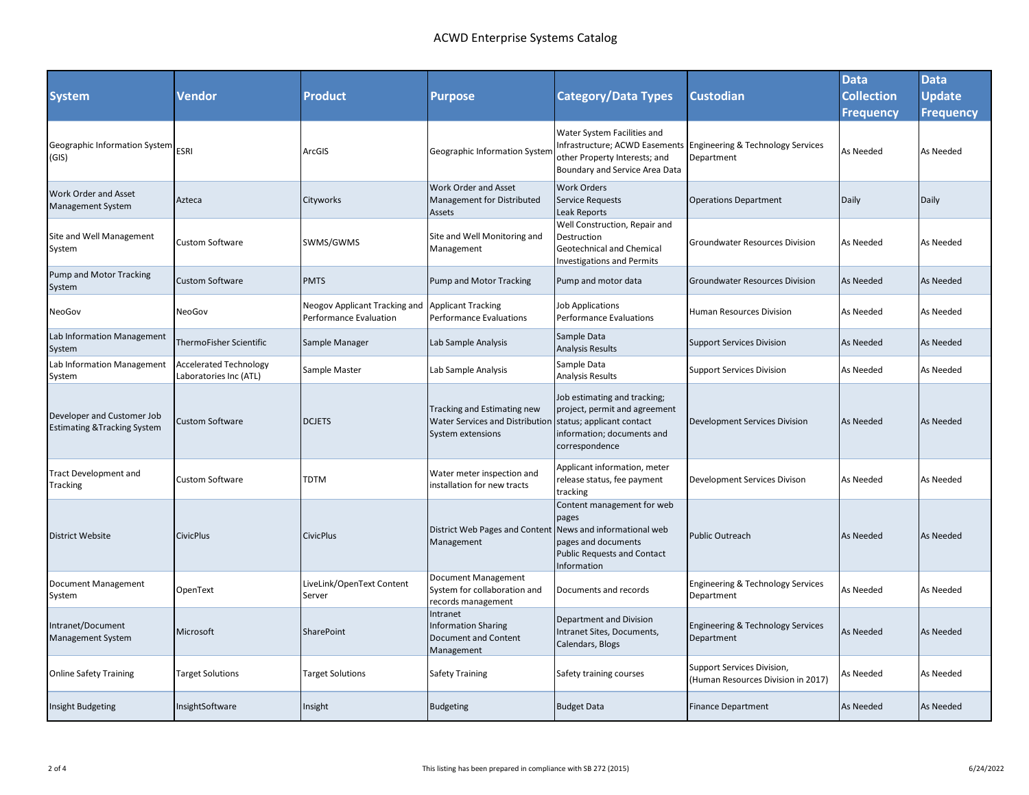## ACWD Enterprise Systems Catalog

| <b>System</b>                                                         | Vendor                                                  | Product                                                        | <b>Purpose</b>                                                                      | <b>Category/Data Types</b>                                                                                                                    | <b>Custodian</b>                                                               | <b>Data</b><br><b>Collection</b><br><b>Frequency</b> | <b>Data</b><br><b>Update</b><br><b>Frequency</b> |
|-----------------------------------------------------------------------|---------------------------------------------------------|----------------------------------------------------------------|-------------------------------------------------------------------------------------|-----------------------------------------------------------------------------------------------------------------------------------------------|--------------------------------------------------------------------------------|------------------------------------------------------|--------------------------------------------------|
| Geographic Information System<br>(GIS)                                | <b>ESRI</b>                                             | ArcGIS                                                         | Geographic Information System                                                       | Water System Facilities and<br>other Property Interests; and<br>Boundary and Service Area Data                                                | Infrastructure; ACWD Easements Engineering & Technology Services<br>Department | As Needed                                            | As Needed                                        |
| <b>Work Order and Asset</b><br><b>Management System</b>               | Azteca                                                  | Cityworks                                                      | Work Order and Asset<br>Management for Distributed<br>Assets                        | Work Orders<br><b>Service Requests</b><br>Leak Reports                                                                                        | <b>Operations Department</b>                                                   | Daily                                                | Daily                                            |
| Site and Well Management<br>System                                    | Custom Software                                         | SWMS/GWMS                                                      | Site and Well Monitoring and<br>Management                                          | Well Construction, Repair and<br>Destruction<br>Geotechnical and Chemical<br><b>Investigations and Permits</b>                                | Groundwater Resources Division                                                 | As Needed                                            | As Needed                                        |
| Pump and Motor Tracking<br>System                                     | <b>Custom Software</b>                                  | <b>PMTS</b>                                                    | Pump and Motor Tracking                                                             | Pump and motor data                                                                                                                           | <b>Groundwater Resources Division</b>                                          | <b>As Needed</b>                                     | <b>As Needed</b>                                 |
| NeoGov                                                                | NeoGov                                                  | <b>Neogov Applicant Tracking and</b><br>Performance Evaluation | <b>Applicant Tracking</b><br><b>Performance Evaluations</b>                         | Job Applications<br><b>Performance Evaluations</b>                                                                                            | <b>Human Resources Division</b>                                                | As Needed                                            | As Needed                                        |
| Lab Information Management<br>System                                  | ThermoFisher Scientific                                 | Sample Manager                                                 | Lab Sample Analysis                                                                 | Sample Data<br><b>Analysis Results</b>                                                                                                        | <b>Support Services Division</b>                                               | <b>As Needed</b>                                     | As Needed                                        |
| Lab Information Management<br>System                                  | <b>Accelerated Technology</b><br>Laboratories Inc (ATL) | Sample Master                                                  | Lab Sample Analysis                                                                 | Sample Data<br>Analysis Results                                                                                                               | <b>Support Services Division</b>                                               | As Needed                                            | As Needed                                        |
| Developer and Customer Job<br><b>Estimating &amp; Tracking System</b> | Custom Software                                         | <b>DCJETS</b>                                                  | Tracking and Estimating new<br>Water Services and Distribution<br>System extensions | Job estimating and tracking;<br>project, permit and agreement<br>status; applicant contact<br>information; documents and<br>correspondence    | <b>Development Services Division</b>                                           | <b>As Needed</b>                                     | <b>As Needed</b>                                 |
| <b>Tract Development and</b><br>Tracking                              | <b>Custom Software</b>                                  | <b>TDTM</b>                                                    | Water meter inspection and<br>installation for new tracts                           | Applicant information, meter<br>release status, fee payment<br>tracking                                                                       | Development Services Divison                                                   | As Needed                                            | <b>As Needed</b>                                 |
| District Website                                                      | <b>CivicPlus</b>                                        | <b>CivicPlus</b>                                               | District Web Pages and Content<br>Management                                        | Content management for web<br>pages<br>News and informational web<br>pages and documents<br><b>Public Requests and Contact</b><br>Information | <b>Public Outreach</b>                                                         | As Needed                                            | <b>As Needed</b>                                 |
| Document Management<br>System                                         | OpenText                                                | LiveLink/OpenText Content<br>Server                            | Document Management<br>System for collaboration and<br>records management           | Documents and records                                                                                                                         | Engineering & Technology Services<br>Department                                | As Needed                                            | As Needed                                        |
| Intranet/Document<br><b>Management System</b>                         | Microsoft                                               | SharePoint                                                     | Intranet<br>Information Sharing<br>Document and Content<br>Management               | Department and Division<br>Intranet Sites, Documents,<br>Calendars, Blogs                                                                     | <b>Engineering &amp; Technology Services</b><br>Department                     | <b>As Needed</b>                                     | <b>As Needed</b>                                 |
| <b>Online Safety Training</b>                                         | <b>Target Solutions</b>                                 | <b>Target Solutions</b>                                        | <b>Safety Training</b>                                                              | Safety training courses                                                                                                                       | Support Services Division,<br>(Human Resources Division in 2017)               | As Needed                                            | As Needed                                        |
| <b>Insight Budgeting</b>                                              | InsightSoftware                                         | Insight                                                        | <b>Budgeting</b>                                                                    | <b>Budget Data</b>                                                                                                                            | <b>Finance Department</b>                                                      | As Needed                                            | As Needed                                        |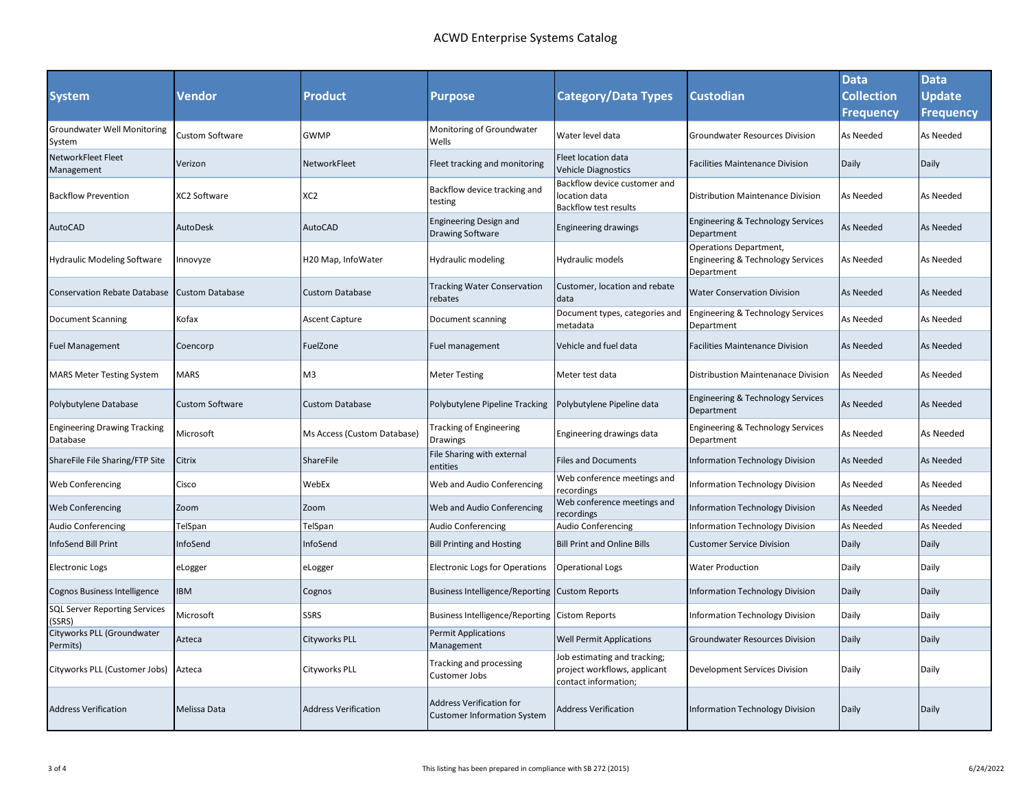|                                                 |                        |                             |                                                                       |                                                                                      |                                                                           | <b>Data</b>       | <b>Data</b>      |
|-------------------------------------------------|------------------------|-----------------------------|-----------------------------------------------------------------------|--------------------------------------------------------------------------------------|---------------------------------------------------------------------------|-------------------|------------------|
| <b>System</b>                                   | Vendor                 | <b>Product</b>              | <b>Purpose</b>                                                        | <b>Category/Data Types</b>                                                           | <b>Custodian</b>                                                          | <b>Collection</b> | Update           |
|                                                 |                        |                             |                                                                       |                                                                                      |                                                                           | <b>Frequency</b>  | Frequency        |
| <b>Groundwater Well Monitoring</b><br>System    | Custom Software        | <b>GWMP</b>                 | Monitoring of Groundwater<br>Wells                                    | Water level data                                                                     | <b>Groundwater Resources Division</b>                                     | As Needed         | As Needed        |
| NetworkFleet Fleet<br>Management                | Verizon                | NetworkFleet                | Fleet tracking and monitoring                                         | Fleet location data<br><b>Vehicle Diagnostics</b>                                    | <b>Facilities Maintenance Division</b>                                    | Daily             | Daily            |
| <b>Backflow Prevention</b>                      | XC2 Software           | XC <sub>2</sub>             | Backflow device tracking and<br>testing                               | Backflow device customer and<br>location data<br><b>Backflow test results</b>        | Distribution Maintenance Division                                         | As Needed         | As Needed        |
| <b>AutoCAD</b>                                  | AutoDesk               | <b>AutoCAD</b>              | <b>Engineering Design and</b><br><b>Drawing Software</b>              | <b>Engineering drawings</b>                                                          | Engineering & Technology Services<br>Department                           | As Needed         | <b>As Needed</b> |
| <b>Hydraulic Modeling Software</b>              | nnovyze                | H20 Map, InfoWater          | Hydraulic modeling                                                    | Hydraulic models                                                                     | Operations Department,<br>Engineering & Technology Services<br>Department | As Needed         | As Needed        |
| <b>Conservation Rebate Database</b>             | <b>Custom Database</b> | <b>Custom Database</b>      | <b>Tracking Water Conservation</b><br>rebates                         | Customer, location and rebate<br>data                                                | <b>Water Conservation Division</b>                                        | As Needed         | <b>As Needed</b> |
| Document Scanning                               | Kofax                  | <b>Ascent Capture</b>       | Document scanning                                                     | Document types, categories and<br>metadata                                           | Engineering & Technology Services<br>Department                           | As Needed         | As Needed        |
| Fuel Management                                 | Coencorp               | FuelZone                    | Fuel management                                                       | Vehicle and fuel data                                                                | <b>Facilities Maintenance Division</b>                                    | As Needed         | As Needed        |
| <b>MARS Meter Testing System</b>                | <b>MARS</b>            | M <sub>3</sub>              | <b>Meter Testing</b>                                                  | Meter test data                                                                      | Distribustion Maintenanace Division                                       | As Needed         | As Needed        |
| Polybutylene Database                           | <b>Custom Software</b> | <b>Custom Database</b>      | Polybutylene Pipeline Tracking                                        | Polybutylene Pipeline data                                                           | Engineering & Technology Services<br>Department                           | As Needed         | <b>As Needed</b> |
| <b>Engineering Drawing Tracking</b><br>Database | Microsoft              | Ms Access (Custom Database) | Tracking of Engineering<br>Drawings                                   | Engineering drawings data                                                            | Engineering & Technology Services<br>Department                           | As Needed         | As Needed        |
| ShareFile File Sharing/FTP Site                 | Citrix                 | <b>ShareFile</b>            | File Sharing with external<br>entities                                | <b>Files and Documents</b>                                                           | Information Technology Division                                           | As Needed         | <b>As Needed</b> |
| Web Conferencing                                | Cisco                  | WebEx                       | Web and Audio Conferencing                                            | Web conference meetings and<br>ecordings                                             | <b>Information Technology Division</b>                                    | As Needed         | As Needed        |
| Web Conferencing                                | Zoom                   | Zoom                        | Web and Audio Conferencing                                            | <b>Neb conference meetings and</b><br>recordings                                     | <b>Information Technology Division</b>                                    | As Needed         | <b>As Needed</b> |
| Audio Conferencing                              | TelSpan                | TelSpan                     | Audio Conferencing                                                    | <b>Audio Conferencing</b>                                                            | Information Technology Division                                           | As Needed         | As Needed        |
| nfoSend Bill Print                              | nfoSend                | InfoSend                    | <b>Bill Printing and Hosting</b>                                      | <b>Bill Print and Online Bills</b>                                                   | <b>Customer Service Division</b>                                          | Daily             | Daily            |
| <b>Electronic Logs</b>                          | eLogger                | eLogger                     | <b>Electronic Logs for Operations</b>                                 | <b>Operational Logs</b>                                                              | <b>Water Production</b>                                                   | Daily             | Daily            |
| <b>Cognos Business Intelligence</b>             | IBM                    | Cognos                      | Business Intelligence/Reporting Custom Reports                        |                                                                                      | <b>Information Technology Division</b>                                    | Daily             | Daily            |
| <b>SQL Server Reporting Services</b><br>SSRS)   | Microsoft              | <b>SSRS</b>                 | Business Intelligence/Reporting                                       | <b>Cistom Reports</b>                                                                | Information Technology Division                                           | Daily             | Daily            |
| Cityworks PLL (Groundwater<br>Permits)          | Azteca                 | <b>Cityworks PLL</b>        | <b>Permit Applications</b><br>Management                              | <b>Well Permit Applications</b>                                                      | <b>Groundwater Resources Division</b>                                     | Daily             | Daily            |
| Cityworks PLL (Customer Jobs)                   | Azteca                 | Cityworks PLL               | Tracking and processing<br>Customer Jobs                              | Job estimating and tracking;<br>project workflows, applicant<br>contact information; | Development Services Division                                             | Daily             | Daily            |
| <b>Address Verification</b>                     | Melissa Data           | <b>Address Verification</b> | <b>Address Verification for</b><br><b>Customer Information System</b> | <b>Address Verification</b>                                                          | <b>Information Technology Division</b>                                    | Daily             | Daily            |